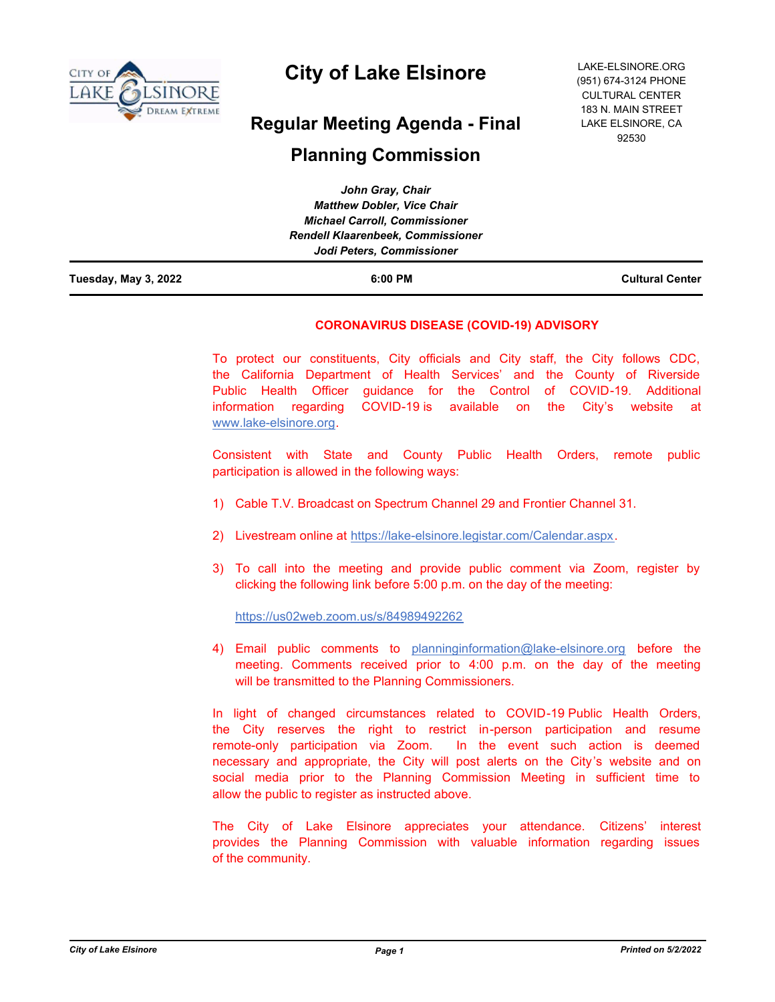

# **City of Lake Elsinore**

# **Regular Meeting Agenda - Final**

# **Planning Commission**

| Tuesday, May 3, 2022 | 6:00 PM                                  | <b>Cultural Center</b> |
|----------------------|------------------------------------------|------------------------|
|                      | Jodi Peters, Commissioner                |                        |
|                      | <b>Rendell Klaarenbeek, Commissioner</b> |                        |
|                      | <b>Michael Carroll, Commissioner</b>     |                        |
|                      | <b>Matthew Dobler, Vice Chair</b>        |                        |
|                      | John Gray, Chair                         |                        |

# **CORONAVIRUS DISEASE (COVID-19) ADVISORY**

To protect our constituents, City officials and City staff, the City follows CDC, the California Department of Health Services' and the County of Riverside Public Health Officer guidance for the Control of COVID-19. Additional information regarding COVID-19 is available on the City's website at www.lake-elsinore.org.

Consistent with State and County Public Health Orders, remote public participation is allowed in the following ways:

- 1) Cable T.V. Broadcast on Spectrum Channel 29 and Frontier Channel 31.
- 2) Livestream online at https://lake-elsinore.legistar.com/Calendar.aspx.
- 3) To call into the meeting and provide public comment via Zoom, register by clicking the following link before 5:00 p.m. on the day of the meeting:

https://us02web.zoom.us/s/84989492262

4) Email public comments to planninginformation@lake-elsinore.org before the meeting. Comments received prior to 4:00 p.m. on the day of the meeting will be transmitted to the Planning Commissioners.

In light of changed circumstances related to COVID-19 Public Health Orders, the City reserves the right to restrict in-person participation and resume remote-only participation via Zoom. In the event such action is deemed necessary and appropriate, the City will post alerts on the City's website and on social media prior to the Planning Commission Meeting in sufficient time to allow the public to register as instructed above.

The City of Lake Elsinore appreciates your attendance. Citizens' interest provides the Planning Commission with valuable information regarding issues of the community.

LAKE-ELSINORE.ORG (951) 674-3124 PHONE CULTURAL CENTER 183 N. MAIN STREET LAKE ELSINORE, CA 92530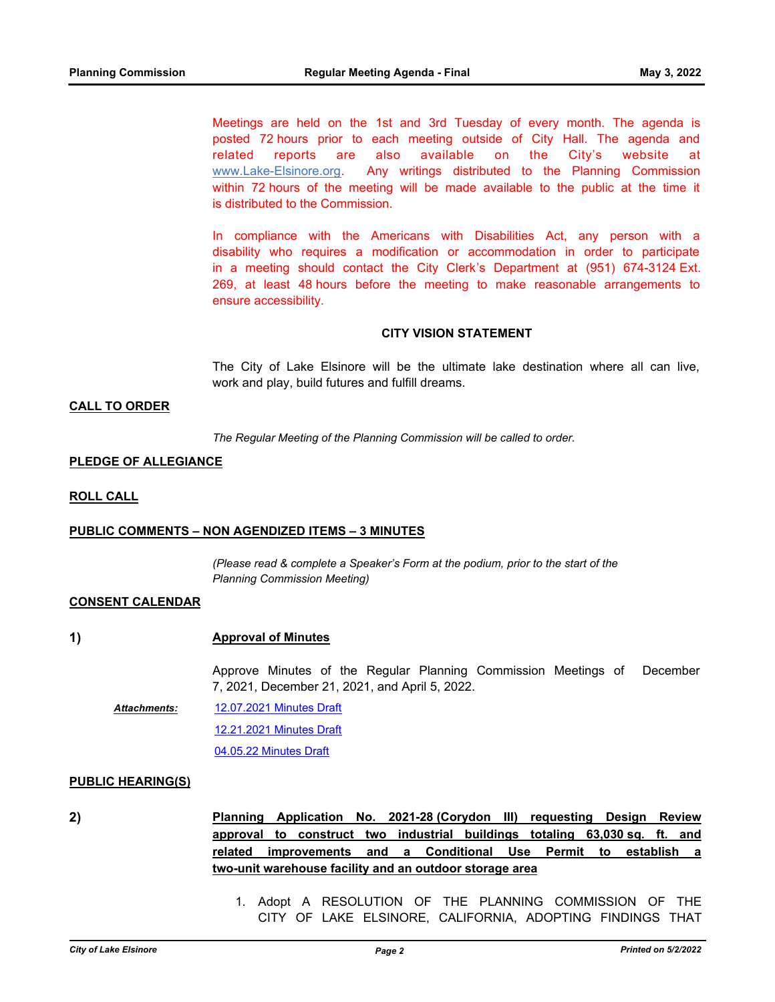Meetings are held on the 1st and 3rd Tuesday of every month. The agenda is posted 72 hours prior to each meeting outside of City Hall. The agenda and related reports are also available on the City's website at www.Lake-Elsinore.org. Any writings distributed to the Planning Commission within 72 hours of the meeting will be made available to the public at the time it is distributed to the Commission.

In compliance with the Americans with Disabilities Act, any person with a disability who requires a modification or accommodation in order to participate in a meeting should contact the City Clerk's Department at (951) 674-3124 Ext. 269, at least 48 hours before the meeting to make reasonable arrangements to ensure accessibility.

### **CITY VISION STATEMENT**

The City of Lake Elsinore will be the ultimate lake destination where all can live, work and play, build futures and fulfill dreams.

## **CALL TO ORDER**

*The Regular Meeting of the Planning Commission will be called to order.*

#### **PLEDGE OF ALLEGIANCE**

**ROLL CALL**

#### **PUBLIC COMMENTS – NON AGENDIZED ITEMS – 3 MINUTES**

*(Please read & complete a Speaker's Form at the podium, prior to the start of the Planning Commission Meeting)*

#### **CONSENT CALENDAR**

#### **1) Approval of Minutes**

Approve Minutes of the Regular Planning Commission Meetings of December 7, 2021, December 21, 2021, and April 5, 2022.

[12.07.2021 Minutes Draft](http://lake-elsinore.legistar.com/gateway.aspx?M=F&ID=fa08aa23-1526-4256-9fba-406a408200d7.pdf) *Attachments:*

[12.21.2021 Minutes Draft](http://lake-elsinore.legistar.com/gateway.aspx?M=F&ID=86e0d31c-5efc-40fa-8885-5f8f7d323bba.pdf)

[04.05.22 Minutes Draft](http://lake-elsinore.legistar.com/gateway.aspx?M=F&ID=4276755e-5ab5-4a5a-9354-d35b63fdc9ce.pdf)

#### **PUBLIC HEARING(S)**

**2) Planning Application No. 2021-28 (Corydon III) requesting Design Review approval to construct two industrial buildings totaling 63,030 sq. ft. and related improvements and a Conditional Use Permit to establish a two-unit warehouse facility and an outdoor storage area**

> 1. Adopt A RESOLUTION OF THE PLANNING COMMISSION OF THE CITY OF LAKE ELSINORE, CALIFORNIA, ADOPTING FINDINGS THAT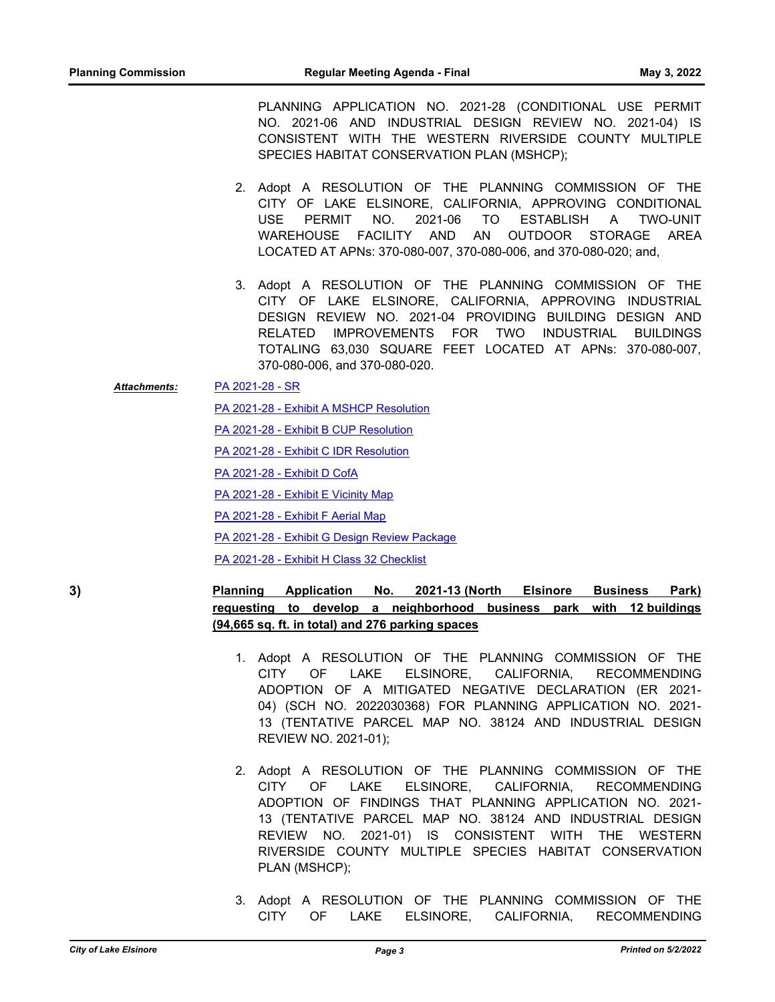PLANNING APPLICATION NO. 2021-28 (CONDITIONAL USE PERMIT NO. 2021-06 AND INDUSTRIAL DESIGN REVIEW NO. 2021-04) IS CONSISTENT WITH THE WESTERN RIVERSIDE COUNTY MULTIPLE SPECIES HABITAT CONSERVATION PLAN (MSHCP);

- 2. Adopt A RESOLUTION OF THE PLANNING COMMISSION OF THE CITY OF LAKE ELSINORE, CALIFORNIA, APPROVING CONDITIONAL USE PERMIT NO. 2021-06 TO ESTABLISH A TWO-UNIT WAREHOUSE FACILITY AND AN OUTDOOR STORAGE AREA LOCATED AT APNs: 370-080-007, 370-080-006, and 370-080-020; and,
- 3. Adopt A RESOLUTION OF THE PLANNING COMMISSION OF THE CITY OF LAKE ELSINORE, CALIFORNIA, APPROVING INDUSTRIAL DESIGN REVIEW NO. 2021-04 PROVIDING BUILDING DESIGN AND RELATED IMPROVEMENTS FOR TWO INDUSTRIAL BUILDINGS TOTALING 63,030 SQUARE FEET LOCATED AT APNs: 370-080-007, 370-080-006, and 370-080-020.

[PA 2021-28 - SR](http://lake-elsinore.legistar.com/gateway.aspx?M=F&ID=7372bbfa-4ac4-4ed4-81a0-985582c74c95.docx) *Attachments:*

[PA 2021-28 - Exhibit A MSHCP Resolution](http://lake-elsinore.legistar.com/gateway.aspx?M=F&ID=419a0c2c-cb90-41f9-85c0-599cdf3d6c87.docx)

[PA 2021-28 - Exhibit B CUP Resolution](http://lake-elsinore.legistar.com/gateway.aspx?M=F&ID=5f9f3ee2-8d92-464c-acaf-63c9d485d260.docx)

[PA 2021-28 - Exhibit C IDR Resolution](http://lake-elsinore.legistar.com/gateway.aspx?M=F&ID=02e353d7-1e10-42be-be06-7964c51487ef.docx)

[PA 2021-28 - Exhibit D CofA](http://lake-elsinore.legistar.com/gateway.aspx?M=F&ID=c9ab7373-96cf-4099-96aa-73e9a268b3f5.docx)

[PA 2021-28 - Exhibit E Vicinity Map](http://lake-elsinore.legistar.com/gateway.aspx?M=F&ID=1a4decef-0994-4d9d-8202-34ca61ada213.pdf)

[PA 2021-28 - Exhibit F Aerial Map](http://lake-elsinore.legistar.com/gateway.aspx?M=F&ID=630754ab-ba4b-4f49-a05d-4057ec300d57.pdf)

[PA 2021-28 - Exhibit G Design Review Package](http://lake-elsinore.legistar.com/gateway.aspx?M=F&ID=b9174da8-966f-4df7-9ddf-935be6c9abf8.pdf)

[PA 2021-28 - Exhibit H Class 32 Checklist](http://lake-elsinore.legistar.com/gateway.aspx?M=F&ID=6d128917-68b6-40ea-8b01-4dab84e99a9f.pdf)

# **3) Planning Application No. 2021-13 (North Elsinore Business Park) requesting to develop a neighborhood business park with 12 buildings (94,665 sq. ft. in total) and 276 parking spaces**

- 1. Adopt A RESOLUTION OF THE PLANNING COMMISSION OF THE CITY OF LAKE ELSINORE, CALIFORNIA, RECOMMENDING ADOPTION OF A MITIGATED NEGATIVE DECLARATION (ER 2021- 04) (SCH NO. 2022030368) FOR PLANNING APPLICATION NO. 2021- 13 (TENTATIVE PARCEL MAP NO. 38124 AND INDUSTRIAL DESIGN REVIEW NO. 2021-01);
- 2. Adopt A RESOLUTION OF THE PLANNING COMMISSION OF THE CITY OF LAKE ELSINORE, CALIFORNIA, RECOMMENDING ADOPTION OF FINDINGS THAT PLANNING APPLICATION NO. 2021- 13 (TENTATIVE PARCEL MAP NO. 38124 AND INDUSTRIAL DESIGN REVIEW NO. 2021-01) IS CONSISTENT WITH THE WESTERN RIVERSIDE COUNTY MULTIPLE SPECIES HABITAT CONSERVATION PLAN (MSHCP);
- 3. Adopt A RESOLUTION OF THE PLANNING COMMISSION OF THE CITY OF LAKE ELSINORE, CALIFORNIA, RECOMMENDING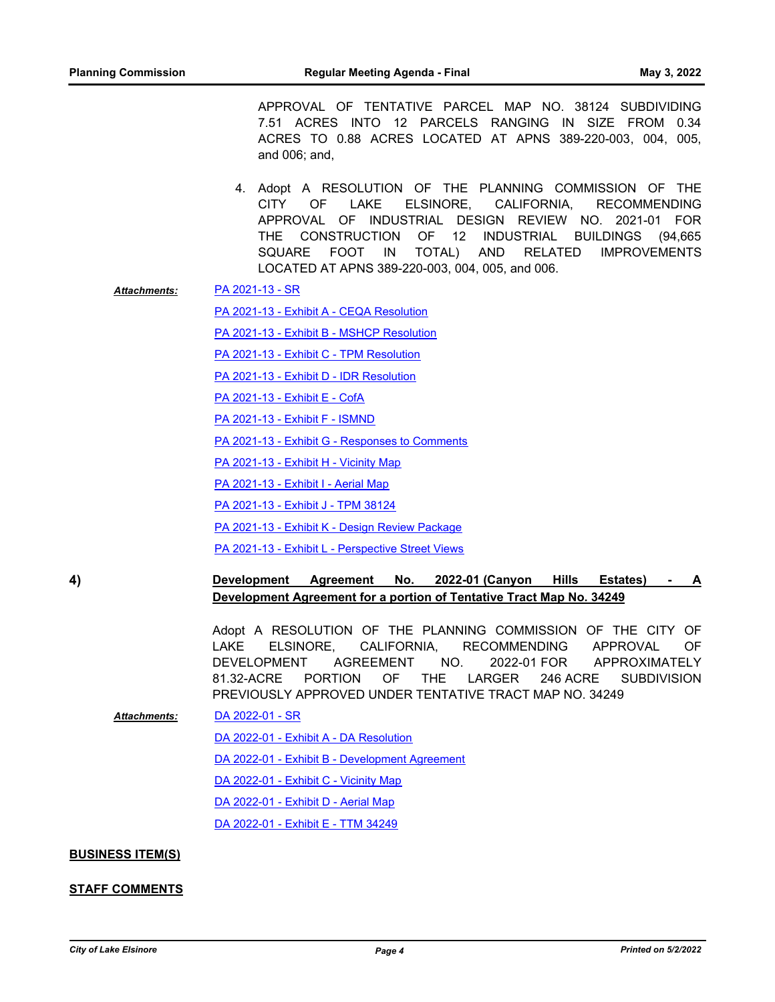APPROVAL OF TENTATIVE PARCEL MAP NO. 38124 SUBDIVIDING 7.51 ACRES INTO 12 PARCELS RANGING IN SIZE FROM 0.34 ACRES TO 0.88 ACRES LOCATED AT APNS 389-220-003, 004, 005, and 006; and,

- 4. Adopt A RESOLUTION OF THE PLANNING COMMISSION OF THE CITY OF LAKE ELSINORE, CALIFORNIA, RECOMMENDING APPROVAL OF INDUSTRIAL DESIGN REVIEW NO. 2021-01 FOR THE CONSTRUCTION OF 12 INDUSTRIAL BUILDINGS (94,665 SQUARE FOOT IN TOTAL) AND RELATED IMPROVEMENTS LOCATED AT APNS 389-220-003, 004, 005, and 006.
- [PA 2021-13 SR](http://lake-elsinore.legistar.com/gateway.aspx?M=F&ID=084e930a-83ad-4561-99a1-3c88e6c7fdc8.docx) *Attachments:*

[PA 2021-13 - Exhibit A - CEQA Resolution](http://lake-elsinore.legistar.com/gateway.aspx?M=F&ID=510783c8-682c-4fd1-a08d-9459fa9c00a0.docx)

[PA 2021-13 - Exhibit B - MSHCP Resolution](http://lake-elsinore.legistar.com/gateway.aspx?M=F&ID=6d0cc82c-d677-4d99-a7d6-520068228644.docx)

[PA 2021-13 - Exhibit C - TPM Resolution](http://lake-elsinore.legistar.com/gateway.aspx?M=F&ID=8ab09891-82bd-40af-bce5-01c867edf2b1.docx)

[PA 2021-13 - Exhibit D - IDR Resolution](http://lake-elsinore.legistar.com/gateway.aspx?M=F&ID=5a1a4c9f-5040-4dd0-989d-6e2dcbeef34f.docx)

[PA 2021-13 - Exhibit E - CofA](http://lake-elsinore.legistar.com/gateway.aspx?M=F&ID=4e289e28-38f2-4f24-baca-f2cf6542ffa9.docx)

- [PA 2021-13 Exhibit F ISMND](http://lake-elsinore.legistar.com/gateway.aspx?M=F&ID=0332f304-3f6c-4799-8604-0ff1abc48dec.pdf)
- [PA 2021-13 Exhibit G Responses to Comments](http://lake-elsinore.legistar.com/gateway.aspx?M=F&ID=d76a22ad-5812-4dd2-a4e5-75ef488895ca.pdf)
- [PA 2021-13 Exhibit H Vicinity Map](http://lake-elsinore.legistar.com/gateway.aspx?M=F&ID=e7d995c5-ea1f-46f7-8531-f68266ba673b.pdf)
- [PA 2021-13 Exhibit I Aerial Map](http://lake-elsinore.legistar.com/gateway.aspx?M=F&ID=192f8af8-168f-4b00-b2a1-240fdf51138f.pdf)
- [PA 2021-13 Exhibit J TPM 38124](http://lake-elsinore.legistar.com/gateway.aspx?M=F&ID=f1a72273-dfa9-430d-bcc2-1d202129909b.pdf)
- [PA 2021-13 Exhibit K Design Review Package](http://lake-elsinore.legistar.com/gateway.aspx?M=F&ID=cf108ef0-779f-4f94-89bb-ccb9ec98d13a.pdf)
- [PA 2021-13 Exhibit L Perspective Street Views](http://lake-elsinore.legistar.com/gateway.aspx?M=F&ID=43104aed-473c-4116-a100-ac3fcb341978.pdf)

**4) Development Agreement No. 2022-01 (Canyon Hills Estates) - A Development Agreement for a portion of Tentative Tract Map No. 34249**

> Adopt A RESOLUTION OF THE PLANNING COMMISSION OF THE CITY OF LAKE ELSINORE, CALIFORNIA, RECOMMENDING APPROVAL OF DEVELOPMENT AGREEMENT NO. 2022-01 FOR APPROXIMATELY 81.32-ACRE PORTION OF THE LARGER 246 ACRE SUBDIVISION PREVIOUSLY APPROVED UNDER TENTATIVE TRACT MAP NO. 34249

*Attachments:*

[DA 2022-01 - Exhibit A - DA Resolution](http://lake-elsinore.legistar.com/gateway.aspx?M=F&ID=b5a0e725-8a08-4085-8278-957e036d1060.docx) [DA 2022-01 - Exhibit B - Development Agreement](http://lake-elsinore.legistar.com/gateway.aspx?M=F&ID=2dd42df3-cffb-4c14-b548-2e3b0191be37.DOCX) [DA 2022-01 - Exhibit C - Vicinity Map](http://lake-elsinore.legistar.com/gateway.aspx?M=F&ID=adf7d8d1-21af-461e-9e60-4d9c1de6b63a.pdf) [DA 2022-01 - Exhibit D - Aerial Map](http://lake-elsinore.legistar.com/gateway.aspx?M=F&ID=0fb4d7a8-87dd-4200-9526-c1f34252435d.pdf) [DA 2022-01 - Exhibit E - TTM 34249](http://lake-elsinore.legistar.com/gateway.aspx?M=F&ID=aa0c536b-10ba-4c97-b5af-bb330f8023de.pdf)

[DA 2022-01 - SR](http://lake-elsinore.legistar.com/gateway.aspx?M=F&ID=80a1caab-545d-40d5-a9ab-8a0d379e44a0.docx)

#### **BUSINESS ITEM(S)**

#### **STAFF COMMENTS**